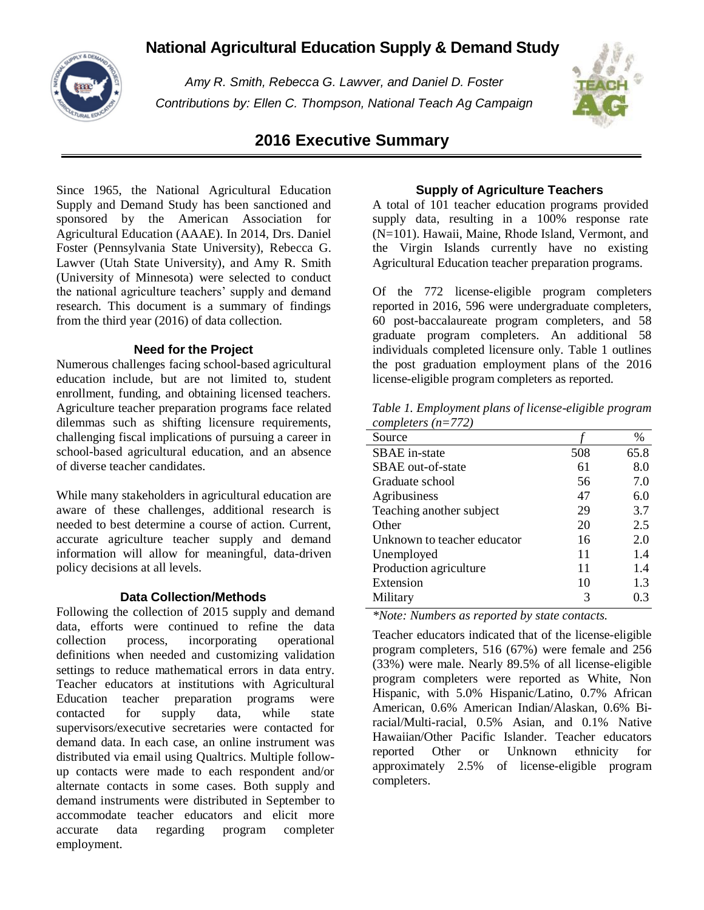# **National Agricultural Education Supply & Demand Study**



*Amy R. Smith, Rebecca G. Lawver, and Daniel D. Foster Contributions by: Ellen C. Thompson, National Teach Ag Campaign*



## **2016 Executive Summary**

Since 1965, the National Agricultural Education Supply and Demand Study has been sanctioned and sponsored by the American Association for Agricultural Education (AAAE). In 2014, Drs. Daniel Foster (Pennsylvania State University), Rebecca G. Lawver (Utah State University), and Amy R. Smith (University of Minnesota) were selected to conduct the national agriculture teachers' supply and demand research. This document is a summary of findings from the third year (2016) of data collection.

## **Need for the Project**

Numerous challenges facing school-based agricultural education include, but are not limited to, student enrollment, funding, and obtaining licensed teachers. Agriculture teacher preparation programs face related dilemmas such as shifting licensure requirements, challenging fiscal implications of pursuing a career in school-based agricultural education, and an absence of diverse teacher candidates.

While many stakeholders in agricultural education are aware of these challenges, additional research is needed to best determine a course of action. Current, accurate agriculture teacher supply and demand information will allow for meaningful, data-driven policy decisions at all levels.

## **Data Collection/Methods**

Following the collection of 2015 supply and demand data, efforts were continued to refine the data collection process, incorporating operational definitions when needed and customizing validation settings to reduce mathematical errors in data entry. Teacher educators at institutions with Agricultural Education teacher preparation programs were contacted for supply data, while state supervisors/executive secretaries were contacted for demand data. In each case, an online instrument was distributed via email using Qualtrics. Multiple followup contacts were made to each respondent and/or alternate contacts in some cases. Both supply and demand instruments were distributed in September to accommodate teacher educators and elicit more accurate data regarding program completer employment.

## **Supply of Agriculture Teachers**

A total of 101 teacher education programs provided supply data, resulting in a 100% response rate (N=101). Hawaii, Maine, Rhode Island, Vermont, and the Virgin Islands currently have no existing Agricultural Education teacher preparation programs.

Of the 772 license-eligible program completers reported in 2016, 596 were undergraduate completers, 60 post-baccalaureate program completers, and 58 graduate program completers. An additional 58 individuals completed licensure only. Table 1 outlines the post graduation employment plans of the 2016 license-eligible program completers as reported.

*Table 1. Employment plans of license-eligible program completers (n=772)*

| Source                      |     | %    |
|-----------------------------|-----|------|
| SBAE in-state               | 508 | 65.8 |
| <b>SBAE</b> out-of-state    | 61  | 8.0  |
| Graduate school             | 56  | 7.0  |
| Agribusiness                | 47  | 6.0  |
| Teaching another subject    | 29  | 3.7  |
| Other                       | 20  | 2.5  |
| Unknown to teacher educator | 16  | 2.0  |
| Unemployed                  | 11  | 1.4  |
| Production agriculture      | 11  | 1.4  |
| Extension                   | 10  | 1.3  |
| Military                    | 3   | 0.3  |
|                             |     |      |

*\*Note: Numbers as reported by state contacts.*

Teacher educators indicated that of the license-eligible program completers, 516 (67%) were female and 256 (33%) were male. Nearly 89.5% of all license-eligible program completers were reported as White, Non Hispanic, with 5.0% Hispanic/Latino, 0.7% African American, 0.6% American Indian/Alaskan, 0.6% Biracial/Multi-racial, 0.5% Asian, and 0.1% Native Hawaiian/Other Pacific Islander. Teacher educators reported Other or Unknown ethnicity for approximately 2.5% of license-eligible program completers.